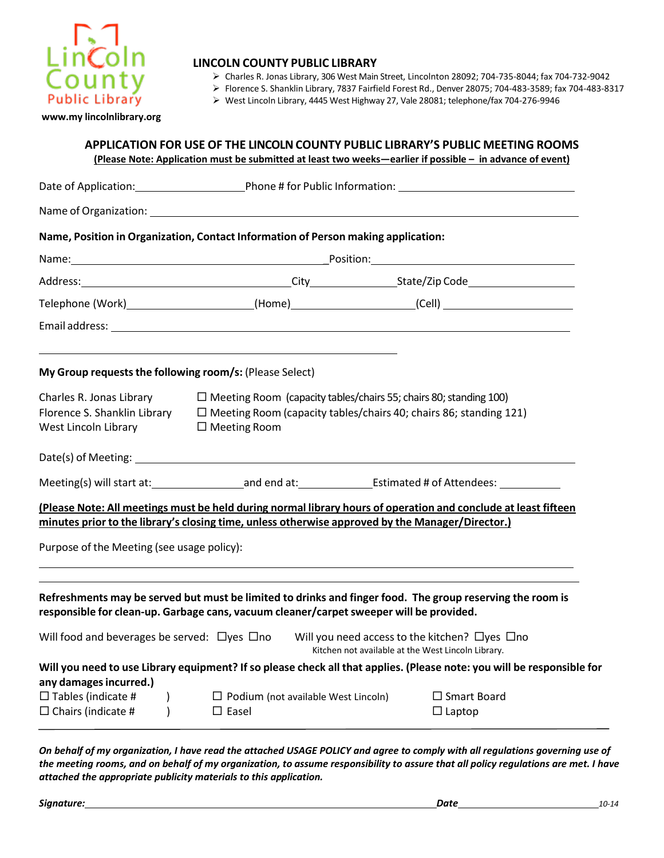

# **LINCOLN COUNTY PUBLIC LIBRARY**

Charles R. Jonas Library, 306 West Main Street, Lincolnton 28092; 704‐735-8044; fax 704‐732‐9042

Florence S. Shanklin Library, 7837 Fairfield Forest Rd., Denver 28075; 704‐483‐3589; fax 704-483-8317

West Lincoln Library, 4445 West Highway 27, Vale 28081; telephone/fax 704‐276‐9946

**[www.my lincolnlibrary.org](http://www.cabarruscounty.us/library)**

|                                                                                  | (Please Note: Application must be submitted at least two weeks-earlier if possible - in advance of event)                                                                                                          | APPLICATION FOR USE OF THE LINCOLN COUNTY PUBLIC LIBRARY'S PUBLIC MEETING ROOMS                                 |  |
|----------------------------------------------------------------------------------|--------------------------------------------------------------------------------------------------------------------------------------------------------------------------------------------------------------------|-----------------------------------------------------------------------------------------------------------------|--|
|                                                                                  |                                                                                                                                                                                                                    |                                                                                                                 |  |
|                                                                                  |                                                                                                                                                                                                                    |                                                                                                                 |  |
|                                                                                  | Name, Position in Organization, Contact Information of Person making application:                                                                                                                                  |                                                                                                                 |  |
|                                                                                  |                                                                                                                                                                                                                    |                                                                                                                 |  |
|                                                                                  |                                                                                                                                                                                                                    |                                                                                                                 |  |
|                                                                                  | Telephone (Work) ________________________(Home) ________________________(Cell) _____________________                                                                                                               |                                                                                                                 |  |
|                                                                                  |                                                                                                                                                                                                                    |                                                                                                                 |  |
| My Group requests the following room/s: (Please Select)                          |                                                                                                                                                                                                                    |                                                                                                                 |  |
| Charles R. Jonas Library<br>West Lincoln Library                                 | Florence S. Shanklin Library $\square$ Meeting Room (capacity tables/chairs 40; chairs 86; standing 121)<br>$\Box$ Meeting Room                                                                                    | $\Box$ Meeting Room (capacity tables/chairs 55; chairs 80; standing 100)                                        |  |
|                                                                                  |                                                                                                                                                                                                                    |                                                                                                                 |  |
|                                                                                  |                                                                                                                                                                                                                    |                                                                                                                 |  |
|                                                                                  | (Please Note: All meetings must be held during normal library hours of operation and conclude at least fifteen<br>minutes prior to the library's closing time, unless otherwise approved by the Manager/Director.) |                                                                                                                 |  |
| Purpose of the Meeting (see usage policy):                                       |                                                                                                                                                                                                                    |                                                                                                                 |  |
|                                                                                  | Refreshments may be served but must be limited to drinks and finger food. The group reserving the room is<br>responsible for clean-up. Garbage cans, vacuum cleaner/carpet sweeper will be provided.               |                                                                                                                 |  |
| Will food and beverages be served: $\Box$ yes $\Box$ no                          |                                                                                                                                                                                                                    | Will you need access to the kitchen? $\Box$ yes $\Box$ no<br>Kitchen not available at the West Lincoln Library. |  |
|                                                                                  | Will you need to use Library equipment? If so please check all that applies. (Please note: you will be responsible for                                                                                             |                                                                                                                 |  |
| any damages incurred.)<br>$\Box$ Tables (indicate #<br>$\Box$ Chairs (indicate # | Podium (not available West Lincoln)<br>$\Box$ Easel                                                                                                                                                                | $\square$ Smart Board<br>$\Box$ Laptop                                                                          |  |

*On behalf of my organization, I have read the attached USAGE POLICY and agree to comply with all regulations governing use of the meeting rooms, and on behalf of my organization, to assume responsibility to assure that all policy regulations are met. I have attached the appropriate publicity materials to this application.*